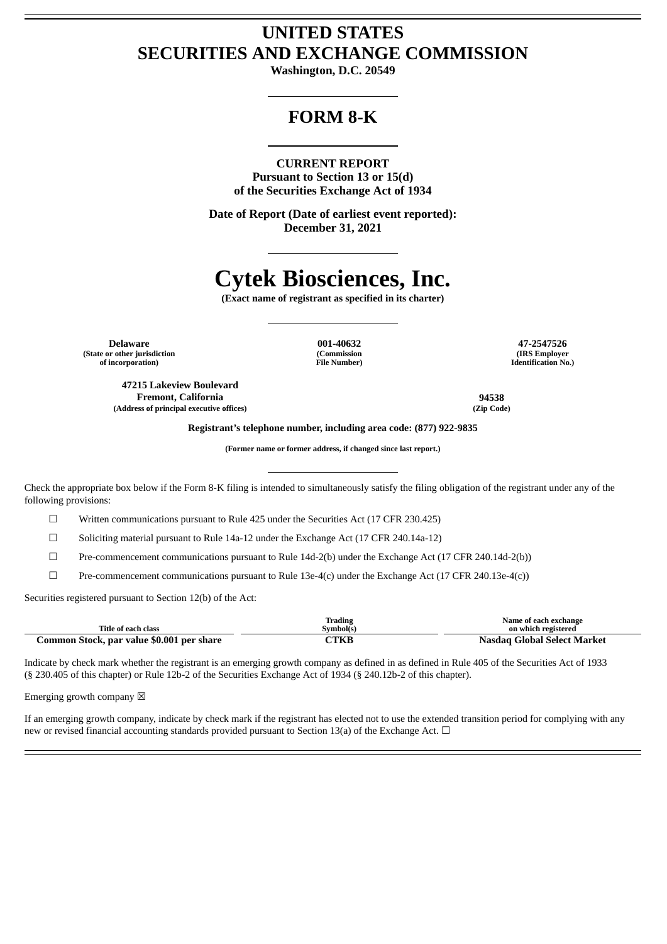## **UNITED STATES SECURITIES AND EXCHANGE COMMISSION**

**Washington, D.C. 20549**

# **FORM 8-K**

### **CURRENT REPORT**

**Pursuant to Section 13 or 15(d) of the Securities Exchange Act of 1934**

**Date of Report (Date of earliest event reported): December 31, 2021**

# **Cytek Biosciences, Inc.**

**(Exact name of registrant as specified in its charter)**

**Delaware 001-40632 47-2547526 (State or other jurisdiction of incorporation)**

**(Commission File Number)**

**(IRS Employer Identification No.)**

**47215 Lakeview Boulevard Fremont, California 94538 (Address of principal executive offices) (Zip Code)**

**Registrant's telephone number, including area code: (877) 922-9835**

**(Former name or former address, if changed since last report.)**

Check the appropriate box below if the Form 8-K filing is intended to simultaneously satisfy the filing obligation of the registrant under any of the following provisions:

☐ Written communications pursuant to Rule 425 under the Securities Act (17 CFR 230.425)

 $\Box$  Soliciting material pursuant to Rule 14a-12 under the Exchange Act (17 CFR 240.14a-12)

☐ Pre-commencement communications pursuant to Rule 14d-2(b) under the Exchange Act (17 CFR 240.14d-2(b))

☐ Pre-commencement communications pursuant to Rule 13e-4(c) under the Exchange Act (17 CFR 240.13e-4(c))

Securities registered pursuant to Section 12(b) of the Act:

| Title of each class                       | <b>Trading</b><br>Symbol(s) | Name of each exchange<br>on which registered |
|-------------------------------------------|-----------------------------|----------------------------------------------|
| Common Stock, par value \$0.001 per share | <b>ETKE</b>                 | Nasdag Global Select Market                  |

Indicate by check mark whether the registrant is an emerging growth company as defined in as defined in Rule 405 of the Securities Act of 1933 (§ 230.405 of this chapter) or Rule 12b-2 of the Securities Exchange Act of 1934 (§ 240.12b-2 of this chapter).

Emerging growth company  $\boxtimes$ 

If an emerging growth company, indicate by check mark if the registrant has elected not to use the extended transition period for complying with any new or revised financial accounting standards provided pursuant to Section 13(a) of the Exchange Act. □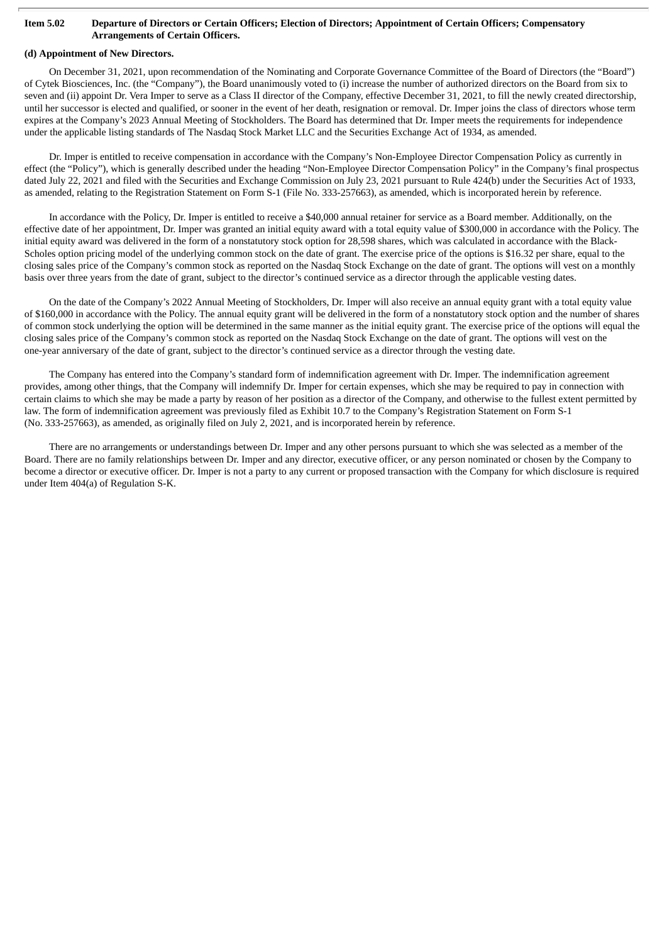#### Item 5.02 Departure of Directors or Certain Officers; Election of Directors; Appointment of Certain Officers; Compensatory **Arrangements of Certain Officers.**

## **(d) Appointment of New Directors.**

On December 31, 2021, upon recommendation of the Nominating and Corporate Governance Committee of the Board of Directors (the "Board") of Cytek Biosciences, Inc. (the "Company"), the Board unanimously voted to (i) increase the number of authorized directors on the Board from six to seven and (ii) appoint Dr. Vera Imper to serve as a Class II director of the Company, effective December 31, 2021, to fill the newly created directorship, until her successor is elected and qualified, or sooner in the event of her death, resignation or removal. Dr. Imper joins the class of directors whose term expires at the Company's 2023 Annual Meeting of Stockholders. The Board has determined that Dr. Imper meets the requirements for independence under the applicable listing standards of The Nasdaq Stock Market LLC and the Securities Exchange Act of 1934, as amended.

Dr. Imper is entitled to receive compensation in accordance with the Company's Non-Employee Director Compensation Policy as currently in effect (the "Policy"), which is generally described under the heading "Non-Employee Director Compensation Policy" in the Company's final prospectus dated July 22, 2021 and filed with the Securities and Exchange Commission on July 23, 2021 pursuant to Rule 424(b) under the Securities Act of 1933, as amended, relating to the Registration Statement on Form S-1 (File No. 333-257663), as amended, which is incorporated herein by reference.

In accordance with the Policy, Dr. Imper is entitled to receive a \$40,000 annual retainer for service as a Board member. Additionally, on the effective date of her appointment, Dr. Imper was granted an initial equity award with a total equity value of \$300,000 in accordance with the Policy. The initial equity award was delivered in the form of a nonstatutory stock option for 28,598 shares, which was calculated in accordance with the Black-Scholes option pricing model of the underlying common stock on the date of grant. The exercise price of the options is \$16.32 per share, equal to the closing sales price of the Company's common stock as reported on the Nasdaq Stock Exchange on the date of grant. The options will vest on a monthly basis over three years from the date of grant, subject to the director's continued service as a director through the applicable vesting dates.

On the date of the Company's 2022 Annual Meeting of Stockholders, Dr. Imper will also receive an annual equity grant with a total equity value of \$160,000 in accordance with the Policy. The annual equity grant will be delivered in the form of a nonstatutory stock option and the number of shares of common stock underlying the option will be determined in the same manner as the initial equity grant. The exercise price of the options will equal the closing sales price of the Company's common stock as reported on the Nasdaq Stock Exchange on the date of grant. The options will vest on the one-year anniversary of the date of grant, subject to the director's continued service as a director through the vesting date.

The Company has entered into the Company's standard form of indemnification agreement with Dr. Imper. The indemnification agreement provides, among other things, that the Company will indemnify Dr. Imper for certain expenses, which she may be required to pay in connection with certain claims to which she may be made a party by reason of her position as a director of the Company, and otherwise to the fullest extent permitted by law. The form of indemnification agreement was previously filed as Exhibit 10.7 to the Company's Registration Statement on Form S-1 (No. 333-257663), as amended, as originally filed on July 2, 2021, and is incorporated herein by reference.

There are no arrangements or understandings between Dr. Imper and any other persons pursuant to which she was selected as a member of the Board. There are no family relationships between Dr. Imper and any director, executive officer, or any person nominated or chosen by the Company to become a director or executive officer. Dr. Imper is not a party to any current or proposed transaction with the Company for which disclosure is required under Item 404(a) of Regulation S-K.